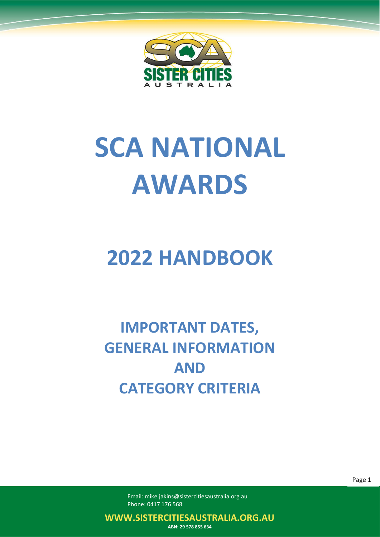

# **SCA NATIONAL AWARDS**

## **2022 HANDBOOK**

**IMPORTANT DATES, GENERAL INFORMATION AND CATEGORY CRITERIA**

> Email: mike.jakins@sistercitiesaustralia.org.au Phone: 0417 176 568

**WWW.SISTERCITIESAUSTRALIA.ORG.AU**

**ABN: 29 578 855 634**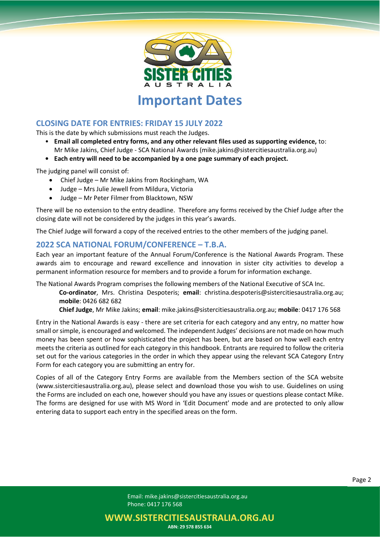

**Important Dates**

#### **CLOSING DATE FOR ENTRIES: FRIDAY 15 JULY 2022**

This is the date by which submissions must reach the Judges.

- **Email all completed entry forms, and any other relevant files used as supporting evidence,** to: Mr Mike Jakins, Chief Judge - SCA National Awards (mike.jakins@sistercitiesaustralia.org.au)
- **• Each entry will need to be accompanied by a one page summary of each project.**

The judging panel will consist of:

- Chief Judge Mr Mike Jakins from Rockingham, WA
- Judge Mrs Julie Jewell from Mildura, Victoria
- Judge Mr Peter Filmer from Blacktown, NSW

There will be no extension to the entry deadline. Therefore any forms received by the Chief Judge after the closing date will not be considered by the judges in this year's awards.

The Chief Judge will forward a copy of the received entries to the other members of the judging panel.

#### **2022 SCA NATIONAL FORUM/CONFERENCE – T.B.A.**

Each year an important feature of the Annual Forum/Conference is the National Awards Program. These awards aim to encourage and reward excellence and innovation in sister city activities to develop a permanent information resource for members and to provide a forum for information exchange.

The National Awards Program comprises the following members of the National Executive of SCA Inc.

**Co-ordinator**, Mrs. Christina Despoteris; **email**: christina.despoteris@sistercitiesaustralia.org.au; **mobile**: 0426 682 682

**Chief Judge**, Mr Mike Jakins; **email**: mike.jakins@sistercitiesaustralia.org.au; **mobile**: 0417 176 568

Entry in the National Awards is easy - there are set criteria for each category and any entry, no matter how small or simple, is encouraged and welcomed. The independent Judges' decisions are not made on how much money has been spent or how sophisticated the project has been, but are based on how well each entry meets the criteria as outlined for each category in this handbook. Entrants are required to follow the criteria set out for the various categories in the order in which they appear using the relevant SCA Category Entry Form for each category you are submitting an entry for.

Copies of all of the Category Entry Forms are available from the Members section of the SCA website (www.sistercitiesaustralia.org.au), please select and download those you wish to use. Guidelines on using the Forms are included on each one, however should you have any issues or questions please contact Mike. The forms are designed for use with MS Word in 'Edit Document' mode and are protected to only allow entering data to support each entry in the specified areas on the form.

> Email: mike.jakins@sistercitiesaustralia.org.au Phone: 0417 176 568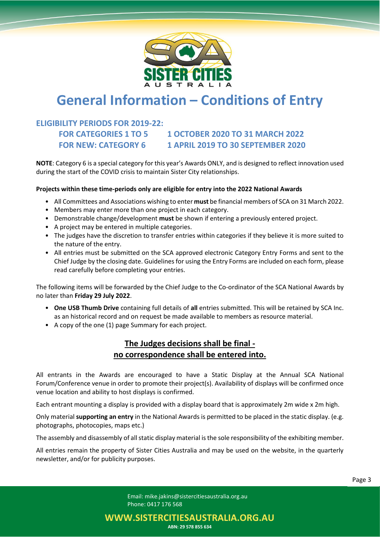

### **General Information – Conditions of Entry**

#### **ELIGIBILITY PERIODS FOR 2019-22:**

#### **FOR CATEGORIES 1 TO 5 1 OCTOBER 2020 TO 31 MARCH 2022 FOR NEW: CATEGORY 6 1 APRIL 2019 TO 30 SEPTEMBER 2020**

**NOTE**: Category 6 is a special category for this year's Awards ONLY, and is designed to reflect innovation used during the start of the COVID crisis to maintain Sister City relationships.

#### **Projects within these time-periods only are eligible for entry into the 2022 National Awards**

- All Committees and Associations wishing to enter **must** be financial members of SCA on 31 March 2022.
- Members may enter more than one project in each category.
- Demonstrable change/development **must** be shown if entering a previously entered project.
- A project may be entered in multiple categories.
- The judges have the discretion to transfer entries within categories if they believe it is more suited to the nature of the entry.
- All entries must be submitted on the SCA approved electronic Category Entry Forms and sent to the Chief Judge by the closing date. Guidelines for using the Entry Forms are included on each form, please read carefully before completing your entries.

The following items will be forwarded by the Chief Judge to the Co-ordinator of the SCA National Awards by no later than **Friday 29 July 2022**.

- **One USB Thumb Drive** containing full details of **all** entries submitted. This will be retained by SCA Inc. as an historical record and on request be made available to members as resource material.
- A copy of the one (1) page Summary for each project.

#### **The Judges decisions shall be final no correspondence shall be entered into.**

All entrants in the Awards are encouraged to have a Static Display at the Annual SCA National Forum/Conference venue in order to promote their project(s). Availability of displays will be confirmed once venue location and ability to host displays is confirmed.

Each entrant mounting a display is provided with a display board that is approximately 2m wide x 2m high.

Only material **supporting an entry** in the National Awards is permitted to be placed in the static display. (e.g. photographs, photocopies, maps etc.)

The assembly and disassembly of all static display material is the sole responsibility of the exhibiting member.

All entries remain the property of Sister Cities Australia and may be used on the website, in the quarterly newsletter, and/or for publicity purposes.

**WWW.SISTERCITIESAUSTRALIA.ORG.AU ABN: 29 578 855 634**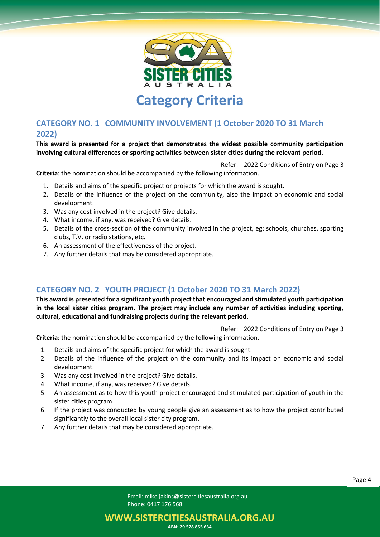

#### **CATEGORY NO. 1 COMMUNITY INVOLVEMENT (1 October 2020 TO 31 March 2022)**

**This award is presented for a project that demonstrates the widest possible community participation involving cultural differences or sporting activities between sister cities during the relevant period.**

Refer: 2022 Conditions of Entry on Page 3

**Criteria**: the nomination should be accompanied by the following information.

- 1. Details and aims of the specific project or projects for which the award is sought.
- 2. Details of the influence of the project on the community, also the impact on economic and social development.
- 3. Was any cost involved in the project? Give details.
- 4. What income, if any, was received? Give details.
- 5. Details of the cross-section of the community involved in the project, eg: schools, churches, sporting clubs, T.V. or radio stations, etc.
- 6. An assessment of the effectiveness of the project.
- 7. Any further details that may be considered appropriate.

#### **CATEGORY NO. 2 YOUTH PROJECT (1 October 2020 TO 31 March 2022)**

**This award is presented for a significant youth project that encouraged and stimulated youth participation in the local sister cities program. The project may include any number of activities including sporting, cultural, educational and fundraising projects during the relevant period.** 

Refer: 2022 Conditions of Entry on Page 3

**Criteria**: the nomination should be accompanied by the following information.

- 1. Details and aims of the specific project for which the award is sought.
- 2. Details of the influence of the project on the community and its impact on economic and social development.
- 3. Was any cost involved in the project? Give details.
- 4. What income, if any, was received? Give details.
- 5. An assessment as to how this youth project encouraged and stimulated participation of youth in the sister cities program.
- 6. If the project was conducted by young people give an assessment as to how the project contributed significantly to the overall local sister city program.
- 7. Any further details that may be considered appropriate.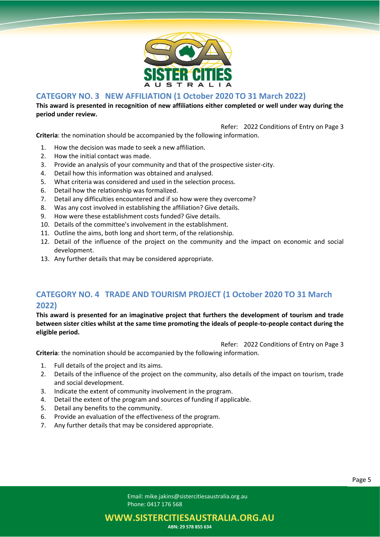

#### **CATEGORY NO. 3 NEW AFFILIATION (1 October 2020 TO 31 March 2022)**

**This award is presented in recognition of new affiliations either completed or well under way during the period under review.**

Refer: 2022 Conditions of Entry on Page 3

**Criteria**: the nomination should be accompanied by the following information.

- 1. How the decision was made to seek a new affiliation.
- 2. How the initial contact was made.
- 3. Provide an analysis of your community and that of the prospective sister-city.
- 4. Detail how this information was obtained and analysed.
- 5. What criteria was considered and used in the selection process.
- 6. Detail how the relationship was formalized.
- 7. Detail any difficulties encountered and if so how were they overcome?
- 8. Was any cost involved in establishing the affiliation? Give details.
- 9. How were these establishment costs funded? Give details.
- 10. Details of the committee's involvement in the establishment.
- 11. Outline the aims, both long and short term, of the relationship.
- 12. Detail of the influence of the project on the community and the impact on economic and social development.
- 13. Any further details that may be considered appropriate.

#### **CATEGORY NO. 4 TRADE AND TOURISM PROJECT (1 October 2020 TO 31 March 2022)**

**This award is presented for an imaginative project that furthers the development of tourism and trade between sister cities whilst at the same time promoting the ideals of people-to-people contact during the eligible period.**

Refer: 2022 Conditions of Entry on Page 3

**Criteria**: the nomination should be accompanied by the following information.

- 1. Full details of the project and its aims.
- 2. Details of the influence of the project on the community, also details of the impact on tourism, trade and social development.
- 3. Indicate the extent of community involvement in the program.
- 4. Detail the extent of the program and sources of funding if applicable.
- 5. Detail any benefits to the community.
- 6. Provide an evaluation of the effectiveness of the program.
- 7. Any further details that may be considered appropriate.

**WWW.SISTERCITIESAUSTRALIA.ORG.AU**

**ABN: 29 578 855 634**